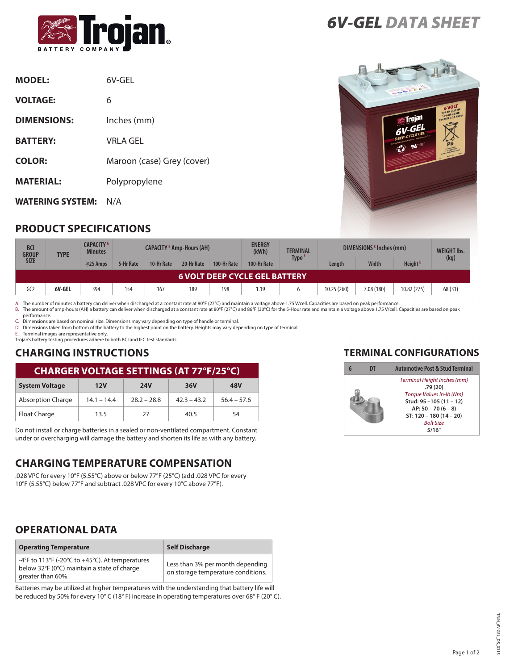

| <b>MODEL:</b>           | 6V-GFL                     |
|-------------------------|----------------------------|
| <b>VOLTAGE:</b>         | 6                          |
| <b>DIMENSIONS:</b>      | Inches (mm)                |
| <b>BATTERY:</b>         | VRLA GEL                   |
| <b>COLOR:</b>           | Maroon (case) Grey (cover) |
| <b>MATERIAL:</b>        | Polypropylene              |
| <b>WATERING SYSTEM:</b> | N/A                        |

*6V-GEL DATA SHEET*



### **PRODUCT SPECIFICATIONS**

| <b>BCI</b><br><b>GROUP</b><br><b>TYPE</b> |        | <b>CAPACITY</b> A<br><b>Minutes</b> | <b>CAPACITY <sup>8</sup> Amp-Hours (AH)</b> |            |            |             | <b>ENERGY</b><br>(kWh) | <b>TERMINAL</b>   | DIMENSIONS (Inches (mm) |              |                     | <b>WEIGHT Ibs.</b> |
|-------------------------------------------|--------|-------------------------------------|---------------------------------------------|------------|------------|-------------|------------------------|-------------------|-------------------------|--------------|---------------------|--------------------|
| <b>SIZE</b>                               |        | @25 Amps                            | 5-Hr Rate                                   | 10-Hr Rate | 20-Hr Rate | 100-Hr Rate | 100-Hr Rate            | Type <sup>E</sup> | Length                  | <b>Width</b> | Height <sup>D</sup> | (kg)               |
| <b>6 VOLT DEEP CYCLE GEL BATTERY.</b>     |        |                                     |                                             |            |            |             |                        |                   |                         |              |                     |                    |
| GC2                                       | 6V-GEL | 394                                 | 154                                         | 167        | 189        | 198         | 1.19                   |                   | 10.25 (260)             | 7.08 (180)   | 10.82 (275)         | 68 (31)            |

A. The number of minutes a battery can deliver when discharged at a constant rate at 80°F (27°C) and maintain a voltage above 1.75 V/cell. Capacities are based on peak performance.<br>B. The amount of amp-hours (AH) a battery

performance.

C. Dimensions are based on nominal size. Dimensions may vary depending on type of handle or terminal.

D. Dimensions taken from bottom of the battery to the highest point on the battery. Heights may vary depending on type of terminal.

E. Terminal images are representative only. Trojan's battery testing procedures adhere to both BCI and IEC test standards.

#### **CHARGING INSTRUCTIONS**

| <b>CHARGER VOLTAGE SETTINGS (AT 77°F/25°C)</b> |               |               |               |               |  |  |
|------------------------------------------------|---------------|---------------|---------------|---------------|--|--|
| <b>System Voltage</b>                          | 12V           | <b>24V</b>    | 36V           | 48V           |  |  |
| <b>Absorption Charge</b>                       | $14.1 - 14.4$ | $78.7 - 78.8$ | $42.3 - 43.2$ | $56.4 - 57.6$ |  |  |
| Float Charge                                   | 13.5          | 27            | 40.5          | 54            |  |  |

Do not install or charge batteries in a sealed or non-ventilated compartment. Constant under or overcharging will damage the battery and shorten its life as with any battery.

#### **CHARGING TEMPERATURE COMPENSATION**

.028 VPC for every 10°F (5.55°C) above or below 77°F (25°C) (add .028 VPC for every 10°F (5.55°C) below 77°F and subtract .028 VPC for every 10°C above 77°F).

#### **OPERATIONAL DATA**

| <b>Operating Temperature</b>                                                                                        | <b>Self Discharge</b>                                                  |
|---------------------------------------------------------------------------------------------------------------------|------------------------------------------------------------------------|
| -4°F to 113°F (-20°C to +45°C). At temperatures<br>below 32°F (0°C) maintain a state of charge<br>greater than 60%. | Less than 3% per month depending<br>on storage temperature conditions. |

Batteries may be utilized at higher temperatures with the understanding that battery life will be reduced by 50% for every 10° C (18° F) increase in operating temperatures over 68° F (20° C).

#### **TERMINAL CONFIGURATIONS**